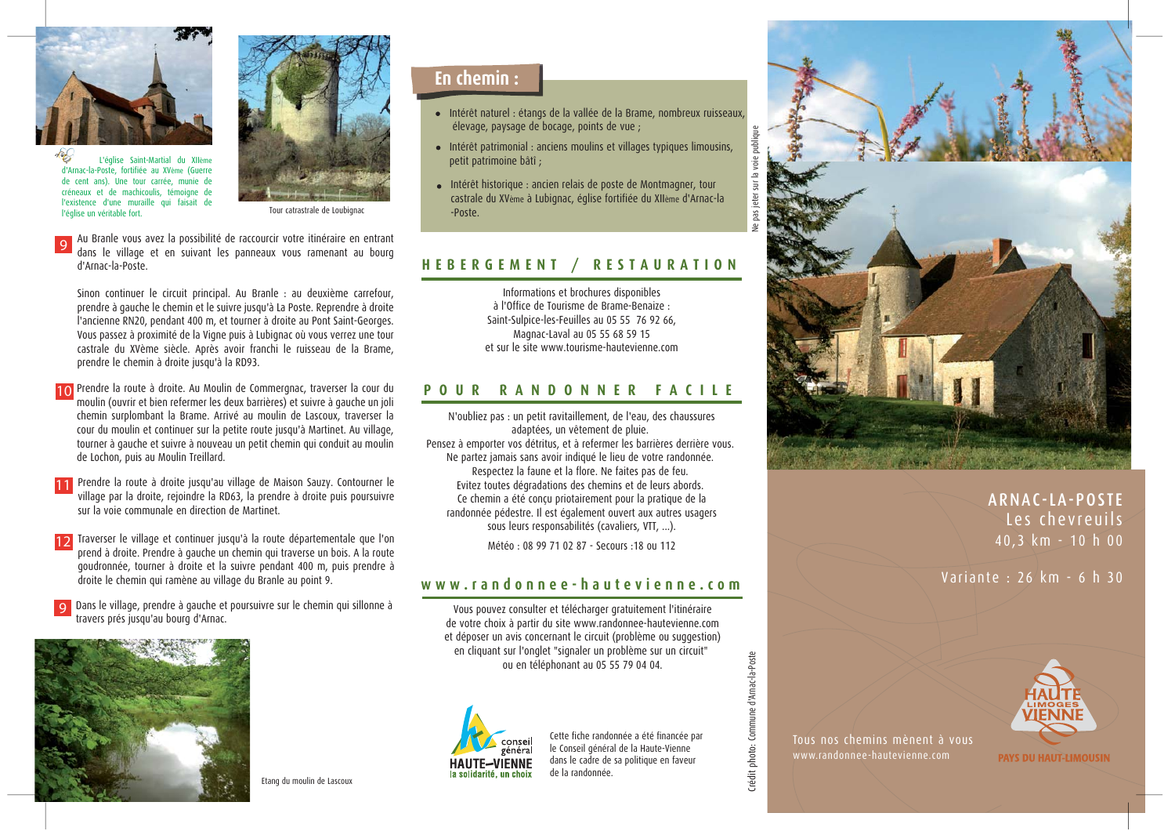

L'église Saint-Martial du XIIème d'Arnac-la-Poste, fortifiée au XVème (Guerre de cent ans). Une tour carrée munie de créneaux et de machicoulis, témoigne de l'existence d'une muraille qui faisait de l'église un véritable fort.



Tour catrastrale de Loubionad

Au Branle vous avez la possibilité de raccourcir votre itinéraire en entrant dans le village et en suivant les panneaux vous ramenant au bourg d'Arnac-la-Poste

Sinon continuer le circuit principal. Au Branle : au deuxième carrefour, prendre à gauche le chemin et le suivre jusqu'à La Poste. Reprendre à droite l'ancienne RN20, pendant 400 m, et tourner à droite au Pont Saint-Georges. Vous passez à proximité de la Vigne puis à Lubignac où vous verrez une tour castrale du XVème siècle. Après avoir franchi le ruisseau de la Brame, prendre le chemin à droite jusqu'à la RD93.

- 10 Prendre la route à droite. Au Moulin de Commergnac, traverser la cour du moulin (ouvrir et bien refermer les deux barrières) et suivre à gauche un joli chemin surplombant la Brame. Arrivé au moulin de Lascoux, traverser la cour du moulin et continuer sur la petite route jusqu'à Martinet. Au village, tourner à gauche et suivre à nouveau un petit chemin qui conduit au moulin de Lochon, puis au Moulin Treillard.
- 11 Prendre la route à droite jusqu'au village de Maison Sauzy. Contourner le village par la droite, rejoindre la RD63, la prendre à droite puis poursuivre sur la voie communale en direction de Martinet
- 12 Traverser le village et continuer jusqu'à la route départementale que l'on prend à droite. Prendre à gauche un chemin qui traverse un bois. A la route aoudronnée, tourner à droite et la suivre pendant 400 m, puis prendre à droite le chemin qui ramène au village du Branle au point 9.
- Dans le village, prendre à gauche et poursuivre sur le chemin qui sillonne à travers prés jusqu'au bourg d'Arnac.



En chemin :

- · Intérêt naturel : étangs de la vallée de la Brame, nombreux ruisseaux, élevage, paysage de bocage, points de vue ;
- · Intérêt patrimonial : anciens moulins et villages typiques limousins, petit patrimoine bâtî ;
- · Intérêt historique : ancien relais de poste de Montmagner, tour castrale du XVème à Lubignac, église fortifiée du XIIème d'Arnac-la -Poste.

## HEBERGEMENT / **RESTAURATION**

Informations et brochures disponibles à l'Office de Tourisme de Brame-Benaize : Saint-Sulpice-les-Feuilles au 05 55 76 92 66, Magnac-Laval au 05 55 68 59 15 et sur le site www.tourisme-hautevienne com

## RANDONNER FACILE POUR

N'oubliez pas : un petit ravitaillement, de l'eau, des chaussures adaptées, un vêtement de pluie. Pensez à emporter vos détritus, et à refermer les barrières derrière vous. Ne partez jamais sans avoir indiqué le lieu de votre randonnée. Respectez la faune et la flore. Ne faites pas de feu. Evitez toutes dégradations des chemins et de leurs abords. Ce chemin a été conçu priotairement pour la pratique de la randonnée pédestre. Il est également ouvert aux autres usagers sous leurs responsabilités (cavaliers, VTT, ...).

Météo: 08 99 71 02 87 - Secours : 18 ou 112

## www.randonnee-hautevienne.com

Vous pouvez consulter et télécharger gratuitement l'itinéraire de votre choix à partir du site www.randonnee-hautevienne.com et déposer un avis concernant le circuit (problème ou suggestion) en cliquant sur l'onglet "signaler un problème sur un circuit" ou en téléphonant au 05 55 79 04 04.



Cette fiche randonnée a été financée par le Conseil général de la Haute-Vienne dans le cadre de sa politique en faveur de la randonnée.



ARNAC-LA-POSTE Les chevreuils 40,3 km - 10 h 00

Variante: 26 km - 6 h 30



Tous nos chemins mènent à vous www.randonnee-hautevienne.com

Crédit photo: Commune d'Arnac-la-Poste

**PAYS DU HAUT-LIMOUSIN** 

Etang du moulin de Lascoux